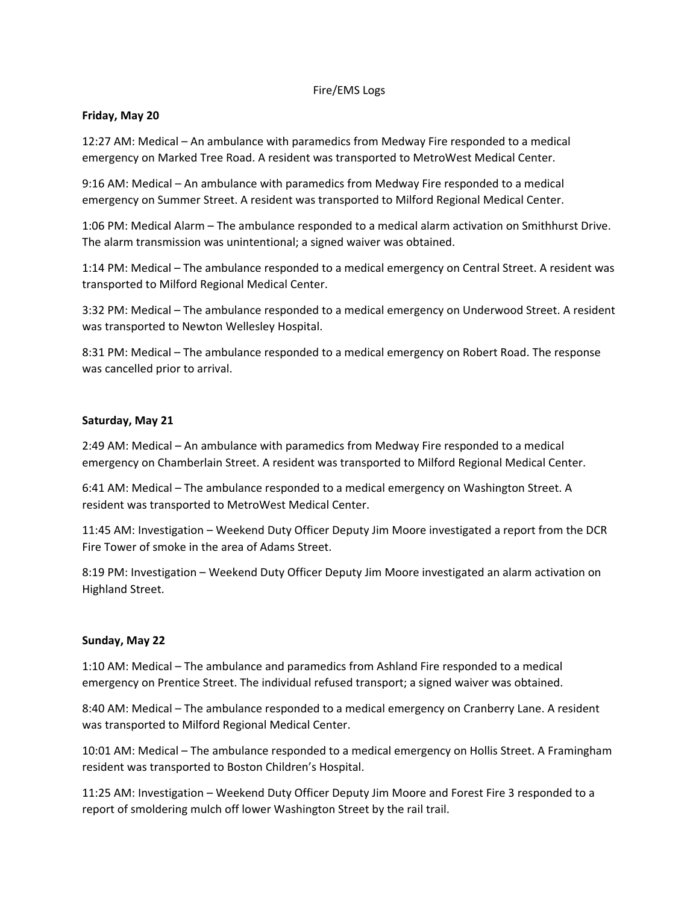# Fire/EMS Logs

# **Friday, May 20**

12:27 AM: Medical – An ambulance with paramedics from Medway Fire responded to a medical emergency on Marked Tree Road. A resident was transported to MetroWest Medical Center.

9:16 AM: Medical – An ambulance with paramedics from Medway Fire responded to a medical emergency on Summer Street. A resident was transported to Milford Regional Medical Center.

1:06 PM: Medical Alarm – The ambulance responded to a medical alarm activation on Smithhurst Drive. The alarm transmission was unintentional; a signed waiver was obtained.

1:14 PM: Medical – The ambulance responded to a medical emergency on Central Street. A resident was transported to Milford Regional Medical Center.

3:32 PM: Medical – The ambulance responded to a medical emergency on Underwood Street. A resident was transported to Newton Wellesley Hospital.

8:31 PM: Medical – The ambulance responded to a medical emergency on Robert Road. The response was cancelled prior to arrival.

# **Saturday, May 21**

2:49 AM: Medical – An ambulance with paramedics from Medway Fire responded to a medical emergency on Chamberlain Street. A resident was transported to Milford Regional Medical Center.

6:41 AM: Medical – The ambulance responded to a medical emergency on Washington Street. A resident was transported to MetroWest Medical Center.

11:45 AM: Investigation – Weekend Duty Officer Deputy Jim Moore investigated a report from the DCR Fire Tower of smoke in the area of Adams Street.

8:19 PM: Investigation – Weekend Duty Officer Deputy Jim Moore investigated an alarm activation on Highland Street.

### **Sunday, May 22**

1:10 AM: Medical – The ambulance and paramedics from Ashland Fire responded to a medical emergency on Prentice Street. The individual refused transport; a signed waiver was obtained.

8:40 AM: Medical – The ambulance responded to a medical emergency on Cranberry Lane. A resident was transported to Milford Regional Medical Center.

10:01 AM: Medical – The ambulance responded to a medical emergency on Hollis Street. A Framingham resident was transported to Boston Children's Hospital.

11:25 AM: Investigation – Weekend Duty Officer Deputy Jim Moore and Forest Fire 3 responded to a report of smoldering mulch off lower Washington Street by the rail trail.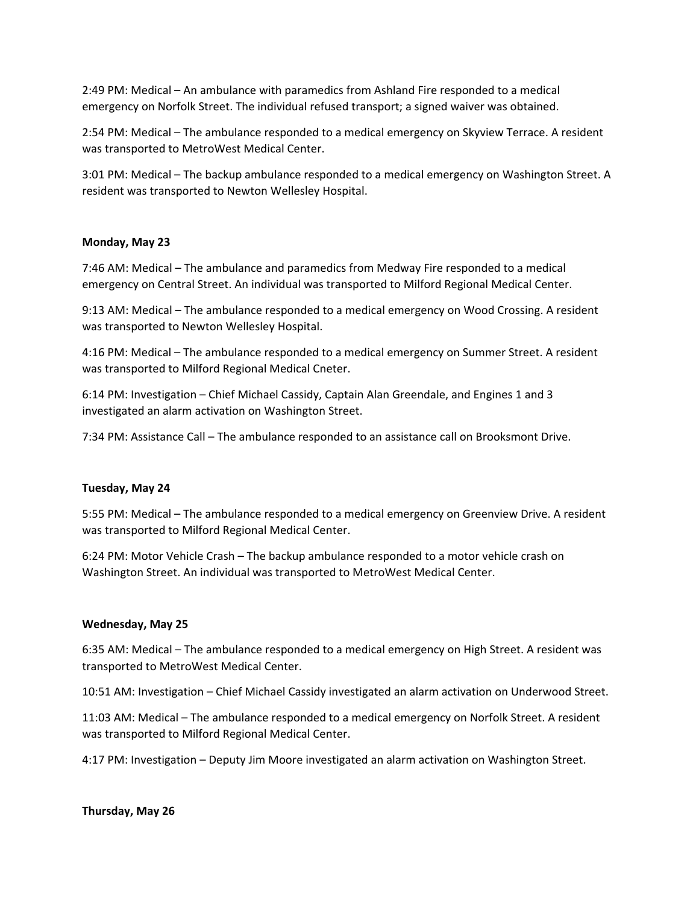2:49 PM: Medical – An ambulance with paramedics from Ashland Fire responded to a medical emergency on Norfolk Street. The individual refused transport; a signed waiver was obtained.

2:54 PM: Medical – The ambulance responded to a medical emergency on Skyview Terrace. A resident was transported to MetroWest Medical Center.

3:01 PM: Medical – The backup ambulance responded to a medical emergency on Washington Street. A resident was transported to Newton Wellesley Hospital.

### **Monday, May 23**

7:46 AM: Medical – The ambulance and paramedics from Medway Fire responded to a medical emergency on Central Street. An individual was transported to Milford Regional Medical Center.

9:13 AM: Medical – The ambulance responded to a medical emergency on Wood Crossing. A resident was transported to Newton Wellesley Hospital.

4:16 PM: Medical – The ambulance responded to a medical emergency on Summer Street. A resident was transported to Milford Regional Medical Cneter.

6:14 PM: Investigation – Chief Michael Cassidy, Captain Alan Greendale, and Engines 1 and 3 investigated an alarm activation on Washington Street.

7:34 PM: Assistance Call – The ambulance responded to an assistance call on Brooksmont Drive.

### **Tuesday, May 24**

5:55 PM: Medical – The ambulance responded to a medical emergency on Greenview Drive. A resident was transported to Milford Regional Medical Center.

6:24 PM: Motor Vehicle Crash – The backup ambulance responded to a motor vehicle crash on Washington Street. An individual was transported to MetroWest Medical Center.

### **Wednesday, May 25**

6:35 AM: Medical – The ambulance responded to a medical emergency on High Street. A resident was transported to MetroWest Medical Center.

10:51 AM: Investigation – Chief Michael Cassidy investigated an alarm activation on Underwood Street.

11:03 AM: Medical – The ambulance responded to a medical emergency on Norfolk Street. A resident was transported to Milford Regional Medical Center.

4:17 PM: Investigation – Deputy Jim Moore investigated an alarm activation on Washington Street.

### **Thursday, May 26**